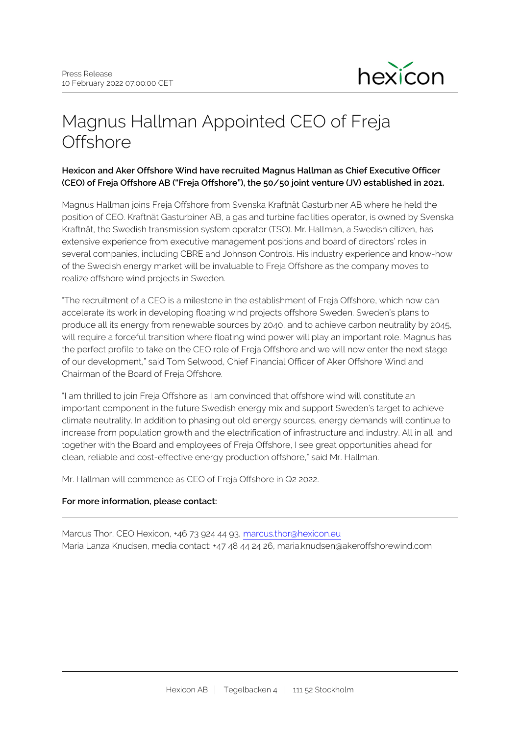

# Magnus Hallman Appointed CEO of Freja **Offshore**

## **Hexicon and Aker Offshore Wind have recruited Magnus Hallman as Chief Executive Officer (CEO) of Freja Offshore AB ("Freja Offshore"), the 50/50 joint venture (JV) established in 2021.**

Magnus Hallman joins Freja Offshore from Svenska Kraftnät Gasturbiner AB where he held the position of CEO. Kraftnät Gasturbiner AB, a gas and turbine facilities operator, is owned by Svenska Kraftnät, the Swedish transmission system operator (TSO). Mr. Hallman, a Swedish citizen, has extensive experience from executive management positions and board of directors' roles in several companies, including CBRE and Johnson Controls. His industry experience and know-how of the Swedish energy market will be invaluable to Freja Offshore as the company moves to realize offshore wind projects in Sweden.

"The recruitment of a CEO is a milestone in the establishment of Freja Offshore, which now can accelerate its work in developing floating wind projects offshore Sweden. Sweden's plans to produce all its energy from renewable sources by 2040, and to achieve carbon neutrality by 2045, will require a forceful transition where floating wind power will play an important role. Magnus has the perfect profile to take on the CEO role of Freja Offshore and we will now enter the next stage of our development," said Tom Selwood, Chief Financial Officer of Aker Offshore Wind and Chairman of the Board of Freja Offshore.

"I am thrilled to join Freja Offshore as I am convinced that offshore wind will constitute an important component in the future Swedish energy mix and support Sweden's target to achieve climate neutrality. In addition to phasing out old energy sources, energy demands will continue to increase from population growth and the electrification of infrastructure and industry. All in all, and together with the Board and employees of Freja Offshore, I see great opportunities ahead for clean, reliable and cost-effective energy production offshore," said Mr. Hallman.

Mr. Hallman will commence as CEO of Freja Offshore in Q2 2022.

### **For more information, please contact:**

Marcus Thor, CEO Hexicon, +46 73 924 44 93, [marcus.thor@hexicon.eu](mailto:marcus.thor@hexicon.eu) Maria Lanza Knudsen, media contact: +47 48 44 24 26, maria.knudsen@akeroffshorewind.com